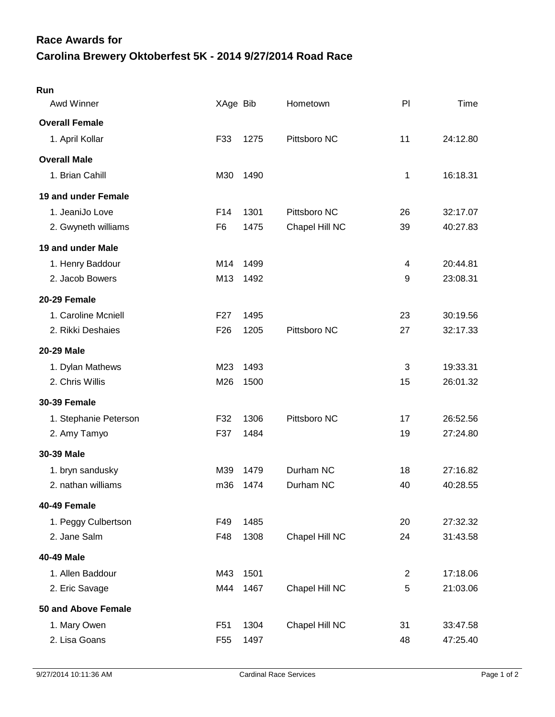## **Carolina Brewery Oktoberfest 5K - 2014 9/27/2014 Road Race Race Awards for**

| Run                   |                 |      |                |    |          |
|-----------------------|-----------------|------|----------------|----|----------|
| <b>Awd Winner</b>     | XAge Bib        |      | Hometown       | PI | Time     |
| <b>Overall Female</b> |                 |      |                |    |          |
| 1. April Kollar       | F33             | 1275 | Pittsboro NC   | 11 | 24:12.80 |
| <b>Overall Male</b>   |                 |      |                |    |          |
| 1. Brian Cahill       | M30             | 1490 |                | 1  | 16:18.31 |
| 19 and under Female   |                 |      |                |    |          |
| 1. JeaniJo Love       | F14             | 1301 | Pittsboro NC   | 26 | 32:17.07 |
| 2. Gwyneth williams   | F <sub>6</sub>  | 1475 | Chapel Hill NC | 39 | 40:27.83 |
| 19 and under Male     |                 |      |                |    |          |
| 1. Henry Baddour      | M14             | 1499 |                | 4  | 20:44.81 |
| 2. Jacob Bowers       | M13             | 1492 |                | 9  | 23:08.31 |
| 20-29 Female          |                 |      |                |    |          |
| 1. Caroline Mcniell   | F <sub>27</sub> | 1495 |                | 23 | 30:19.56 |
| 2. Rikki Deshaies     | F <sub>26</sub> | 1205 | Pittsboro NC   | 27 | 32:17.33 |
| 20-29 Male            |                 |      |                |    |          |
| 1. Dylan Mathews      | M23             | 1493 |                | 3  | 19:33.31 |
| 2. Chris Willis       | M26             | 1500 |                | 15 | 26:01.32 |
| <b>30-39 Female</b>   |                 |      |                |    |          |
| 1. Stephanie Peterson | F32             | 1306 | Pittsboro NC   | 17 | 26:52.56 |
| 2. Amy Tamyo          | F37             | 1484 |                | 19 | 27:24.80 |
| 30-39 Male            |                 |      |                |    |          |
| 1. bryn sandusky      | M39             | 1479 | Durham NC      | 18 | 27:16.82 |
| 2. nathan williams    | m36             | 1474 | Durham NC      | 40 | 40:28.55 |
| 40-49 Female          |                 |      |                |    |          |
| 1. Peggy Culbertson   | F49             | 1485 |                | 20 | 27:32.32 |
| 2. Jane Salm          | F48             | 1308 | Chapel Hill NC | 24 | 31:43.58 |
| 40-49 Male            |                 |      |                |    |          |
| 1. Allen Baddour      | M43             | 1501 |                | 2  | 17:18.06 |
| 2. Eric Savage        | M44             | 1467 | Chapel Hill NC | 5  | 21:03.06 |
| 50 and Above Female   |                 |      |                |    |          |
| 1. Mary Owen          | F <sub>51</sub> | 1304 | Chapel Hill NC | 31 | 33:47.58 |
| 2. Lisa Goans         | F <sub>55</sub> | 1497 |                | 48 | 47:25.40 |